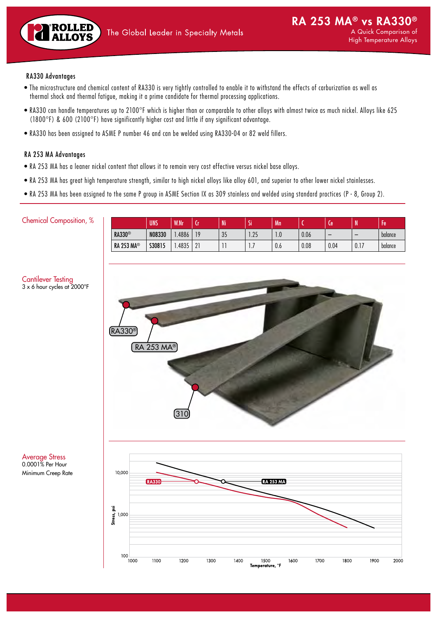

# RA330 Advantages

- The microstructure and chemical content of RA330 is very tightly controlled to enable it to withstand the effects of carburization as well as thermal shock and thermal fatigue, making it a prime candidate for thermal processing applications.
- RA330 can handle temperatures up to 2100°F which is higher than or comparable to other alloys with almost twice as much nickel. Alloys like 625 (1800°F) & 600 (2100°F) have significantly higher cost and little if any significant advantage.
- RA330 has been assigned to ASME P number 46 and can be welded using RA330-04 or 82 weld fillers.

## RA 253 MA Advantages

- RA 253 MA has a leaner nickel content that allows it to remain very cost effective versus nickel base alloys.
- RA 253 MA has great high temperature strength, similar to high nickel alloys like alloy 601, and superior to other lower nickel stainlesses.
- RA 253 MA has been assigned to the same P group in ASME Section IX as 309 stainless and welded using standard practices (P 8, Group 2).

### Chemical Composition, %

Cantilever Testing

| <b>RA330®</b><br>N08330<br>0.06<br>10<br>$\Omega$<br>$\Omega$<br>.4886<br>$\Omega$<br>balance<br>-35<br>l.Z5<br>-<br>I.U |                   | <b>UNS</b> | <b>W.Nr</b> | . . | Ni | <br>D. | Mn  |      | 0J   | m    | -<br>ŀе |
|--------------------------------------------------------------------------------------------------------------------------|-------------------|------------|-------------|-----|----|--------|-----|------|------|------|---------|
|                                                                                                                          |                   |            |             |     |    |        |     |      |      |      |         |
| $\mathbf{L}$                                                                                                             | <b>RA 253 MA®</b> | S30815     | 4835        | 21  |    |        | 0.6 | 0.08 | 0.04 | 0.17 | balance |